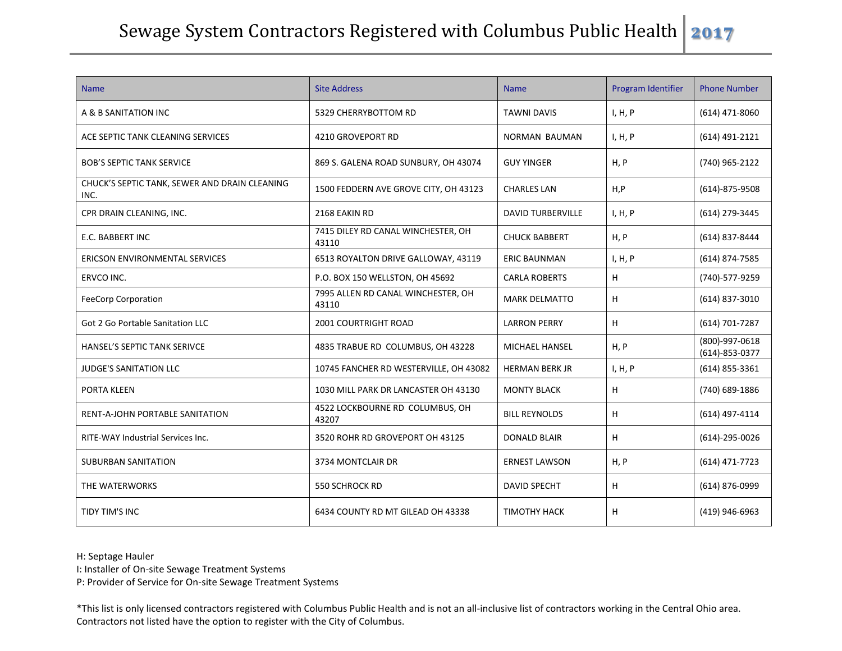## Sewage System Contractors Registered with Columbus Public Health **2017**

| <b>Name</b>                                           | <b>Site Address</b>                         | <b>Name</b>              | Program Identifier | <b>Phone Number</b>                    |
|-------------------------------------------------------|---------------------------------------------|--------------------------|--------------------|----------------------------------------|
| A & B SANITATION INC                                  | 5329 CHERRYBOTTOM RD                        | <b>TAWNI DAVIS</b>       | I, H, P            | (614) 471-8060                         |
| ACE SEPTIC TANK CLEANING SERVICES                     | 4210 GROVEPORT RD                           | NORMAN BAUMAN            | I, H, P            | (614) 491-2121                         |
| <b>BOB'S SEPTIC TANK SERVICE</b>                      | 869 S. GALENA ROAD SUNBURY, OH 43074        | <b>GUY YINGER</b>        | H, P               | (740) 965-2122                         |
| CHUCK'S SEPTIC TANK, SEWER AND DRAIN CLEANING<br>INC. | 1500 FEDDERN AVE GROVE CITY, OH 43123       | <b>CHARLES LAN</b>       | H, P               | $(614) - 875 - 9508$                   |
| CPR DRAIN CLEANING, INC.                              | 2168 EAKIN RD                               | <b>DAVID TURBERVILLE</b> | I, H, P            | (614) 279-3445                         |
| E.C. BABBERT INC                                      | 7415 DILEY RD CANAL WINCHESTER, OH<br>43110 | <b>CHUCK BABBERT</b>     | H, P               | (614) 837-8444                         |
| <b>ERICSON ENVIRONMENTAL SERVICES</b>                 | 6513 ROYALTON DRIVE GALLOWAY, 43119         | <b>ERIC BAUNMAN</b>      | I, H, P            | (614) 874-7585                         |
| ERVCO INC.                                            | P.O. BOX 150 WELLSTON, OH 45692             | <b>CARLA ROBERTS</b>     | H                  | (740)-577-9259                         |
| <b>FeeCorp Corporation</b>                            | 7995 ALLEN RD CANAL WINCHESTER, OH<br>43110 | <b>MARK DELMATTO</b>     | н                  | $(614)$ 837-3010                       |
| <b>Got 2 Go Portable Sanitation LLC</b>               | 2001 COURTRIGHT ROAD                        | <b>LARRON PERRY</b>      | H                  | (614) 701-7287                         |
| <b>HANSEL'S SEPTIC TANK SERIVCE</b>                   | 4835 TRABUE RD COLUMBUS, OH 43228           | MICHAEL HANSEL           | H, P               | (800)-997-0618<br>$(614) - 853 - 0377$ |
| <b>JUDGE'S SANITATION LLC</b>                         | 10745 FANCHER RD WESTERVILLE, OH 43082      | <b>HERMAN BERK JR</b>    | I, H, P            | $(614)$ 855-3361                       |
| PORTA KLEEN                                           | 1030 MILL PARK DR LANCASTER OH 43130        | <b>MONTY BLACK</b>       | H                  | (740) 689-1886                         |
| RENT-A-JOHN PORTABLE SANITATION                       | 4522 LOCKBOURNE RD COLUMBUS, OH<br>43207    | <b>BILL REYNOLDS</b>     | H                  | (614) 497-4114                         |
| RITE-WAY Industrial Services Inc.                     | 3520 ROHR RD GROVEPORT OH 43125             | <b>DONALD BLAIR</b>      | H                  | $(614) - 295 - 0026$                   |
| <b>SUBURBAN SANITATION</b>                            | 3734 MONTCLAIR DR                           | <b>ERNEST LAWSON</b>     | H, P               | (614) 471-7723                         |
| THE WATERWORKS                                        | 550 SCHROCK RD                              | <b>DAVID SPECHT</b>      | H                  | (614) 876-0999                         |
| TIDY TIM'S INC                                        | 6434 COUNTY RD MT GILEAD OH 43338           | <b>TIMOTHY HACK</b>      | H                  | (419) 946-6963                         |

H: Septage Hauler

I: Installer of On-site Sewage Treatment Systems

P: Provider of Service for On-site Sewage Treatment Systems

\*This list is only licensed contractors registered with Columbus Public Health and is not an all-inclusive list of contractors working in the Central Ohio area. Contractors not listed have the option to register with the City of Columbus.